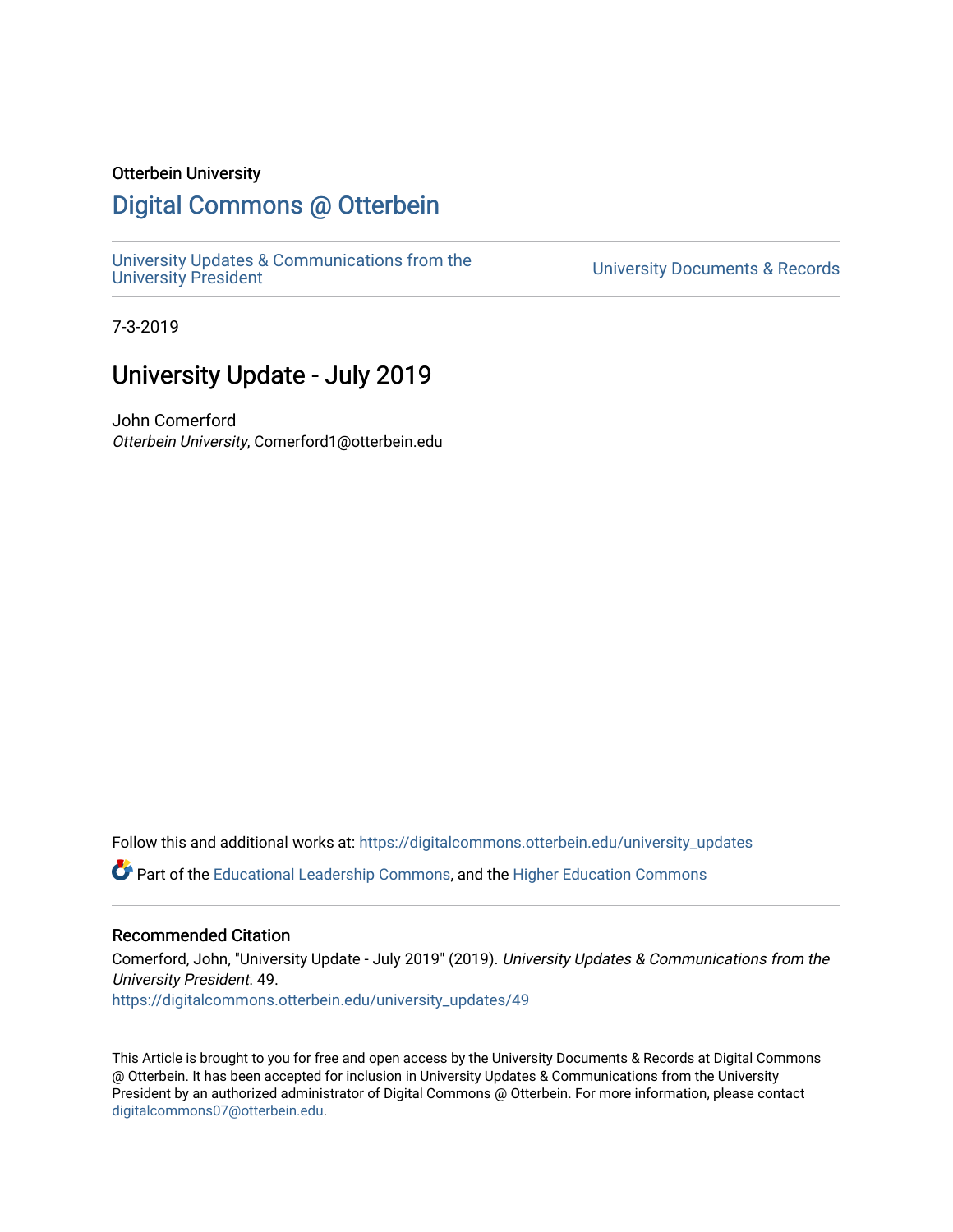#### Otterbein University

# [Digital Commons @ Otterbein](https://digitalcommons.otterbein.edu/)

[University Updates & Communications from the](https://digitalcommons.otterbein.edu/university_updates)

University Documents & Records

7-3-2019

# University Update - July 2019

John Comerford Otterbein University, Comerford1@otterbein.edu

Follow this and additional works at: [https://digitalcommons.otterbein.edu/university\\_updates](https://digitalcommons.otterbein.edu/university_updates?utm_source=digitalcommons.otterbein.edu%2Funiversity_updates%2F49&utm_medium=PDF&utm_campaign=PDFCoverPages) 

Part of the [Educational Leadership Commons,](http://network.bepress.com/hgg/discipline/1230?utm_source=digitalcommons.otterbein.edu%2Funiversity_updates%2F49&utm_medium=PDF&utm_campaign=PDFCoverPages) and the [Higher Education Commons](http://network.bepress.com/hgg/discipline/1245?utm_source=digitalcommons.otterbein.edu%2Funiversity_updates%2F49&utm_medium=PDF&utm_campaign=PDFCoverPages)

#### Recommended Citation

Comerford, John, "University Update - July 2019" (2019). University Updates & Communications from the University President. 49. [https://digitalcommons.otterbein.edu/university\\_updates/49](https://digitalcommons.otterbein.edu/university_updates/49?utm_source=digitalcommons.otterbein.edu%2Funiversity_updates%2F49&utm_medium=PDF&utm_campaign=PDFCoverPages)

This Article is brought to you for free and open access by the University Documents & Records at Digital Commons @ Otterbein. It has been accepted for inclusion in University Updates & Communications from the University President by an authorized administrator of Digital Commons @ Otterbein. For more information, please contact [digitalcommons07@otterbein.edu](mailto:digitalcommons07@otterbein.edu).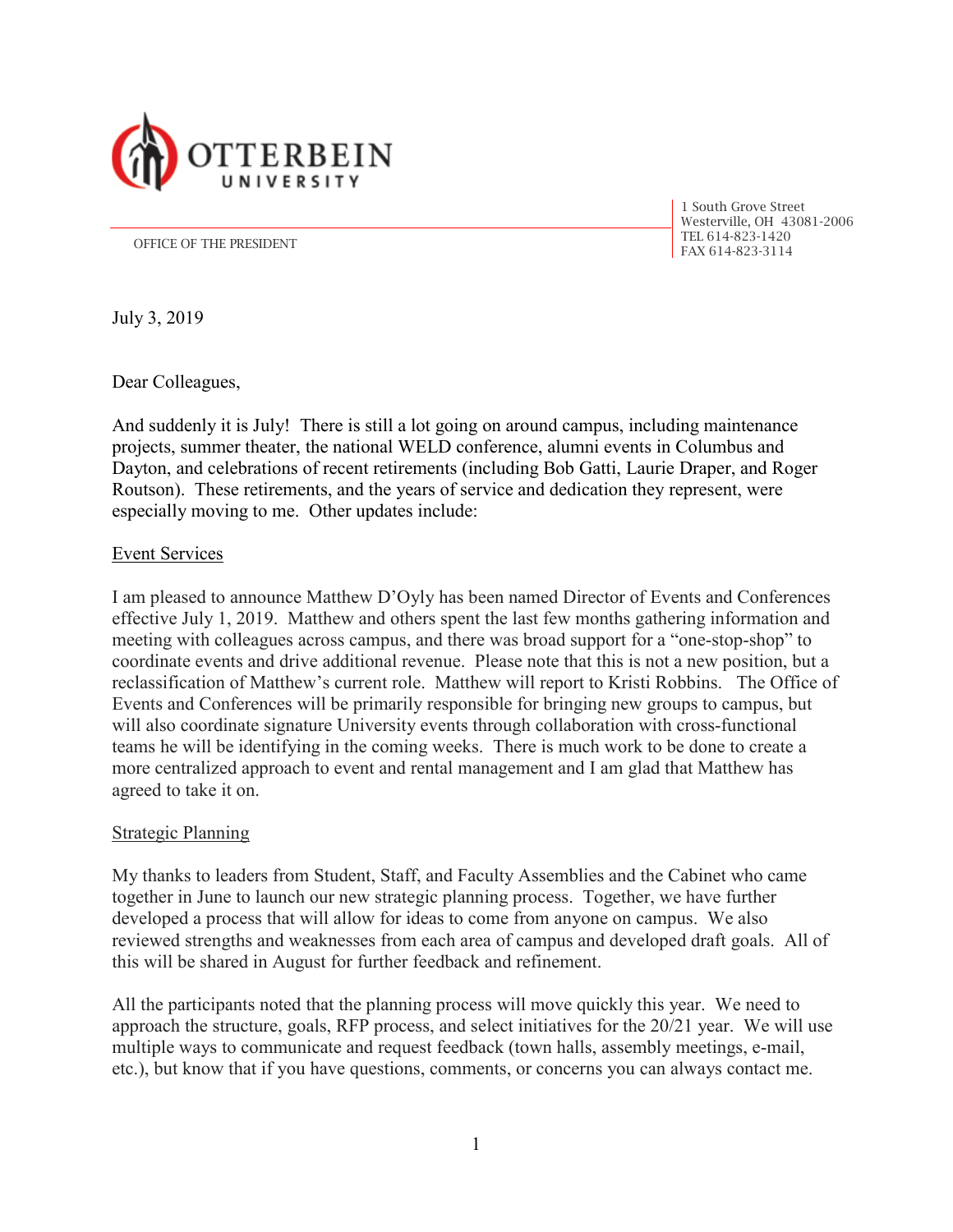

1 South Grove Street Westerville, OH 43081-2006 TEL 614-823-1420

OFFICE OF THE PRESIDENT<br>FAX 614-823-3114

July 3, 2019

Dear Colleagues,

And suddenly it is July! There is still a lot going on around campus, including maintenance projects, summer theater, the national WELD conference, alumni events in Columbus and Dayton, and celebrations of recent retirements (including Bob Gatti, Laurie Draper, and Roger Routson). These retirements, and the years of service and dedication they represent, were especially moving to me. Other updates include:

### Event Services

I am pleased to announce Matthew D'Oyly has been named Director of Events and Conferences effective July 1, 2019. Matthew and others spent the last few months gathering information and meeting with colleagues across campus, and there was broad support for a "one-stop-shop" to coordinate events and drive additional revenue. Please note that this is not a new position, but a reclassification of Matthew's current role. Matthew will report to Kristi Robbins. The Office of Events and Conferences will be primarily responsible for bringing new groups to campus, but will also coordinate signature University events through collaboration with cross-functional teams he will be identifying in the coming weeks. There is much work to be done to create a more centralized approach to event and rental management and I am glad that Matthew has agreed to take it on.

### **Strategic Planning**

My thanks to leaders from Student, Staff, and Faculty Assemblies and the Cabinet who came together in June to launch our new strategic planning process. Together, we have further developed a process that will allow for ideas to come from anyone on campus. We also reviewed strengths and weaknesses from each area of campus and developed draft goals. All of this will be shared in August for further feedback and refinement.

All the participants noted that the planning process will move quickly this year. We need to approach the structure, goals, RFP process, and select initiatives for the 20/21 year. We will use multiple ways to communicate and request feedback (town halls, assembly meetings, e-mail, etc.), but know that if you have questions, comments, or concerns you can always contact me.